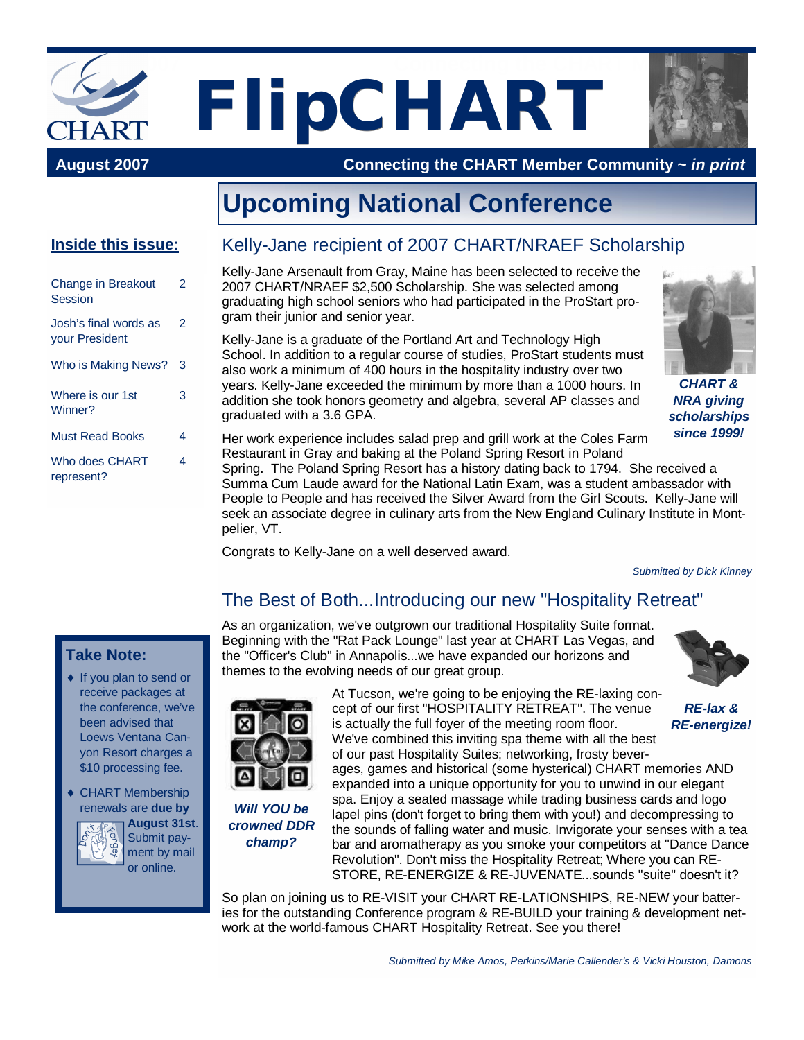

 **August 2007 Connecting the CHART Member Community ~** *in print*

# **Upcoming National Conference**

#### **Inside this issue:**

| <b>Change in Breakout</b><br>Session           | 2 |
|------------------------------------------------|---|
| Josh's final words as<br><b>your President</b> | 2 |
| Who is Making News?                            | 3 |
| Where is our 1st<br>Winner?                    | 3 |
| <b>Must Read Books</b>                         | 4 |
| Who does CHART<br>represent?                   | 4 |

**Take Note:**

◆ If you plan to send or receive packages at the conference, we've been advised that Loews Ventana Canyon Resort charges a \$10 processing fee. ◆ CHART Membership renewals are **due by**

> **August 31st**. Submit payment by mail or online.

#### Kelly-Jane recipient of 2007 CHART/NRAEF Scholarship

Kelly-Jane Arsenault from Gray, Maine has been selected to receive the 2007 CHART/NRAEF \$2,500 Scholarship. She was selected among graduating high school seniors who had participated in the ProStart program their junior and senior year.

Kelly-Jane is a graduate of the Portland Art and Technology High School. In addition to a regular course of studies, ProStart students must also work a minimum of 400 hours in the hospitality industry over two years. Kelly-Jane exceeded the minimum by more than a 1000 hours. In addition she took honors geometry and algebra, several AP classes and graduated with a 3.6 GPA.



*CHART & NRA giving scholarships since 1999!*

Her work experience includes salad prep and grill work at the Coles Farm Restaurant in Gray and baking at the Poland Spring Resort in Poland

Spring. The Poland Spring Resort has a history dating back to 1794. She received a Summa Cum Laude award for the National Latin Exam, was a student ambassador with People to People and has received the Silver Award from the Girl Scouts. Kelly-Jane will seek an associate degree in culinary arts from the New England Culinary Institute in Montpelier, VT.

Congrats to Kelly-Jane on a well deserved award.

*Submitted by Dick Kinney*

## The Best of Both...Introducing our new "Hospitality Retreat"

As an organization, we've outgrown our traditional Hospitality Suite format. Beginning with the "Rat Pack Lounge" last year at CHART Las Vegas, and the "Officer's Club" in Annapolis...we have expanded our horizons and themes to the evolving needs of our great group.





*Will YOU be crowned DDR champ?*

At Tucson, we're going to be enjoying the RE-laxing concept of our first "HOSPITALITY RETREAT". The venue is actually the full foyer of the meeting room floor. We've combined this inviting spa theme with all the best of our past Hospitality Suites; networking, frosty bever-

ages, games and historical (some hysterical) CHART memories AND expanded into a unique opportunity for you to unwind in our elegant spa. Enjoy a seated massage while trading business cards and logo lapel pins (don't forget to bring them with you!) and decompressing to the sounds of falling water and music. Invigorate your senses with a tea bar and aromatherapy as you smoke your competitors at "Dance Dance Revolution". Don't miss the Hospitality Retreat; Where you can RE-STORE, RE-ENERGIZE & RE-JUVENATE...sounds "suite" doesn't it?

So plan on joining us to RE-VISIT your CHART RE-LATIONSHIPS, RE-NEW your batteries for the outstanding Conference program & RE-BUILD your training & development network at the world-famous CHART Hospitality Retreat. See you there!



*RE-lax & RE-energize!*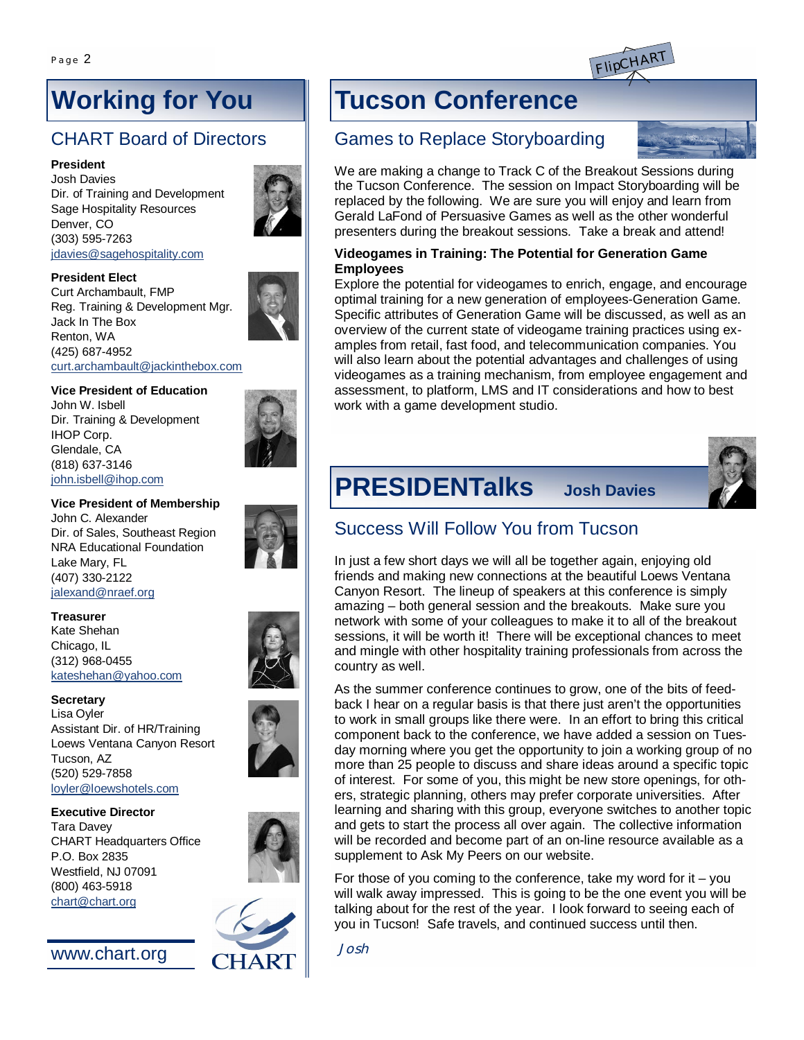

# **Working for You**

# CHART Board of Directors

#### **President**

Josh Davies Dir. of Training and Development Sage Hospitality Resources Denver, CO (303) 595-7263 [jdavies@sagehospitality.com](mailto:jdavies@sagehospitality.com)



Curt Archambault, FMP Reg. Training & Development Mgr. Jack In The Box Renton, WA (425) 687-4952 [curt.archambault@jackinthebox.com](mailto:curt.archambault@jackinthebox.com)

### **Vice President of Education**

John W. Isbell Dir. Training & Development IHOP Corp. Glendale, CA (818) 637-3146 [john.isbell@ihop.com](mailto:john.isbell@ihop.com)



#### **Vice President of Membership**

John C. Alexander Dir. of Sales, Southeast Region NRA Educational Foundation Lake Mary, FL (407) 330-2122 [jalexand@nraef.org](mailto:jalexand@nraef.org)

#### **Treasurer**

Kate Shehan Chicago, IL (312) 968-0455 [kateshehan@yahoo.com](mailto:kateshehan@yahoo.com)

**Secretary** Lisa Oyler Assistant Dir. of HR/Training Loews Ventana Canyon Resort Tucson, AZ (520) 529-7858 [loyler@loewshotels.com](mailto:loyler@loewshotels.com)

#### **Executive Director**

Tara Davey CHART Headquarters Office P.O. Box 2835 Westfield, NJ 07091 (800) 463-5918 [chart@chart.org](mailto:chart@chart.org)



# **Tucson Conference**

### Games to Replace Storyboarding



#### **Videogames in Training: The Potential for Generation Game Employees**

Explore the potential for videogames to enrich, engage, and encourage optimal training for a new generation of employees-Generation Game. Specific attributes of Generation Game will be discussed, as well as an overview of the current state of videogame training practices using examples from retail, fast food, and telecommunication companies. You will also learn about the potential advantages and challenges of using videogames as a training mechanism, from employee engagement and assessment, to platform, LMS and IT considerations and how to best work with a game development studio.



# **PRESIDENTalks Josh Davies**

### Success Will Follow You from Tucson

In just a few short days we will all be together again, enjoying old friends and making new connections at the beautiful Loews Ventana Canyon Resort. The lineup of speakers at this conference is simply amazing – both general session and the breakouts. Make sure you network with some of your colleagues to make it to all of the breakout sessions, it will be worth it! There will be exceptional chances to meet and mingle with other hospitality training professionals from across the country as well.

As the summer conference continues to grow, one of the bits of feedback I hear on a regular basis is that there just aren't the opportunities to work in small groups like there were. In an effort to bring this critical component back to the conference, we have added a session on Tuesday morning where you get the opportunity to join a working group of no more than 25 people to discuss and share ideas around a specific topic of interest. For some of you, this might be new store openings, for others, strategic planning, others may prefer corporate universities. After learning and sharing with this group, everyone switches to another topic and gets to start the process all over again. The collective information will be recorded and become part of an on-line resource available as a supplement to Ask My Peers on our website.

For those of you coming to the conference, take my word for it  $-$  you will walk away impressed. This is going to be the one event you will be talking about for the rest of the year. I look forward to seeing each of you in Tucson! Safe travels, and continued success until then.

*Josh*

[www.chart.org](http://www.chart.org)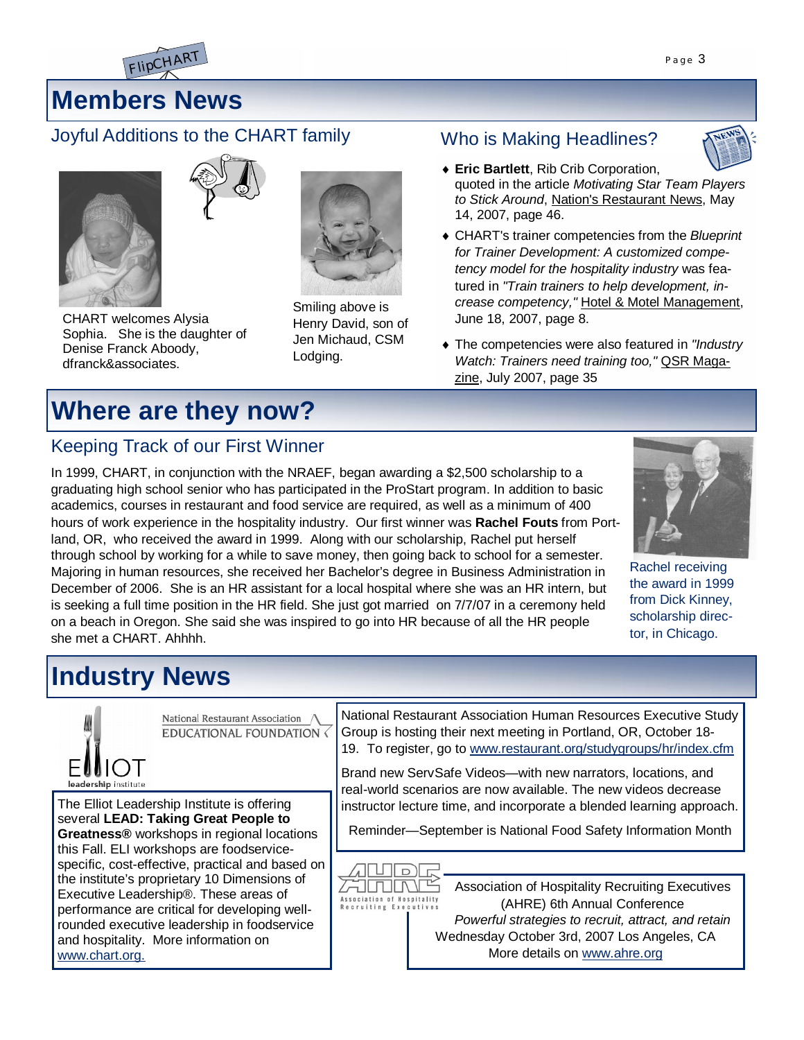

# **Members News**

### Joyful Additions to the CHART family





CHART welcomes Alysia Sophia. She is the daughter of Denise Franck Aboody, dfranck&associates.

# **Where are they now?**

## Keeping Track of our First Winner

In 1999, CHART, in conjunction with the NRAEF, began awarding a \$2,500 scholarship to a graduating high school senior who has participated in the ProStart program. In addition to basic academics, courses in restaurant and food service are required, as well as a minimum of 400 hours of work experience in the hospitality industry. Our first winner was **Rachel Fouts** from Portland, OR, who received the award in 1999. Along with our scholarship, Rachel put herself through school by working for a while to save money, then going back to school for a semester. Majoring in human resources, she received her Bachelor's degree in Business Administration in December of 2006. She is an HR assistant for a local hospital where she was an HR intern, but is seeking a full time position in the HR field. She just got married on 7/7/07 in a ceremony held on a beach in Oregon. She said she was inspired to go into HR because of all the HR people she met a CHART. Ahhhh.

Smiling above is Henry David, son of Jen Michaud, CSM

Lodging.

Rachel receiving the award in 1999 from Dick Kinney, scholarship director, in Chicago.

# **Industry News**



### Who is Making Headlines?

- i**Eric Bartlett**, Rib Crib Corporation, quoted in the article *Motivating Star Team Players to Stick Around*, Nation's Restaurant News, May 14, 2007, page 46.
- ◆ CHART's trainer competencies from the *Blueprint for Trainer Development: A customized competency model for the hospitality industry* was featured in *"Train trainers to help development, increase competency,"* Hotel & Motel Management, June 18, 2007, page 8.
- $\bullet$  The competencies were also featured in "Industry *Watch: Trainers need training too,"* QSR Magazine, July 2007, page 35